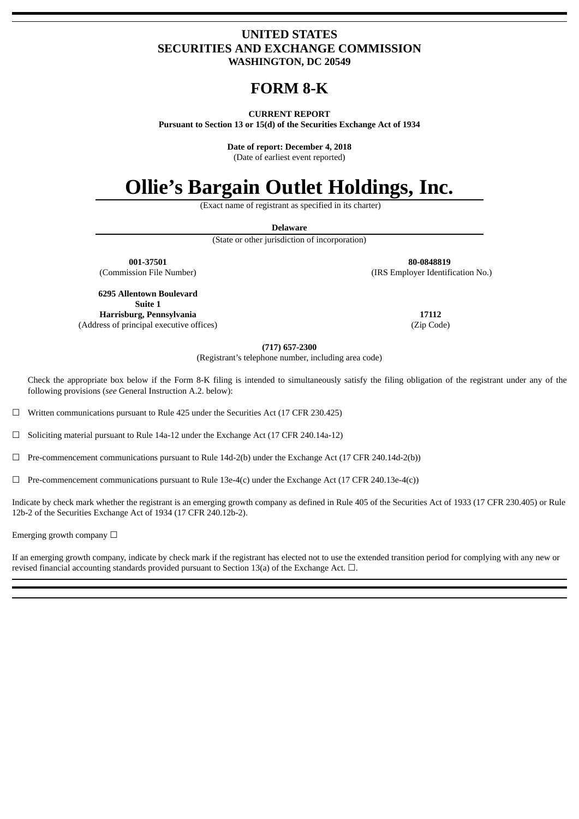### **UNITED STATES SECURITIES AND EXCHANGE COMMISSION WASHINGTON, DC 20549**

## **FORM 8‑K**

### **CURRENT REPORT**

**Pursuant to Section 13 or 15(d) of the Securities Exchange Act of 1934**

**Date of report: December 4, 2018**

(Date of earliest event reported)

# **Ollie's Bargain Outlet Holdings, Inc.**

(Exact name of registrant as specified in its charter)

**Delaware**

(State or other jurisdiction of incorporation)

**001-37501 80-0848819** (Commission File Number) (IRS Employer Identification No.)

**6295 Allentown Boulevard Suite 1 Harrisburg, Pennsylvania**

(Address of principal executive offices)

**17112** (Zip Code)

**(717) 657-2300**

(Registrant's telephone number, including area code)

Check the appropriate box below if the Form 8-K filing is intended to simultaneously satisfy the filing obligation of the registrant under any of the following provisions (*see* General Instruction A.2. below):

☐ Written communications pursuant to Rule 425 under the Securities Act (17 CFR 230.425)

☐ Soliciting material pursuant to Rule 14a-12 under the Exchange Act (17 CFR 240.14a-12)

 $\Box$  Pre-commencement communications pursuant to Rule 14d-2(b) under the Exchange Act (17 CFR 240.14d-2(b))

 $\Box$  Pre-commencement communications pursuant to Rule 13e-4(c) under the Exchange Act (17 CFR 240.13e-4(c))

Indicate by check mark whether the registrant is an emerging growth company as defined in Rule 405 of the Securities Act of 1933 (17 CFR 230.405) or Rule 12b-2 of the Securities Exchange Act of 1934 (17 CFR 240.12b-2).

Emerging growth company  $\Box$ 

If an emerging growth company, indicate by check mark if the registrant has elected not to use the extended transition period for complying with any new or revised financial accounting standards provided pursuant to Section 13(a) of the Exchange Act.  $\Box$ .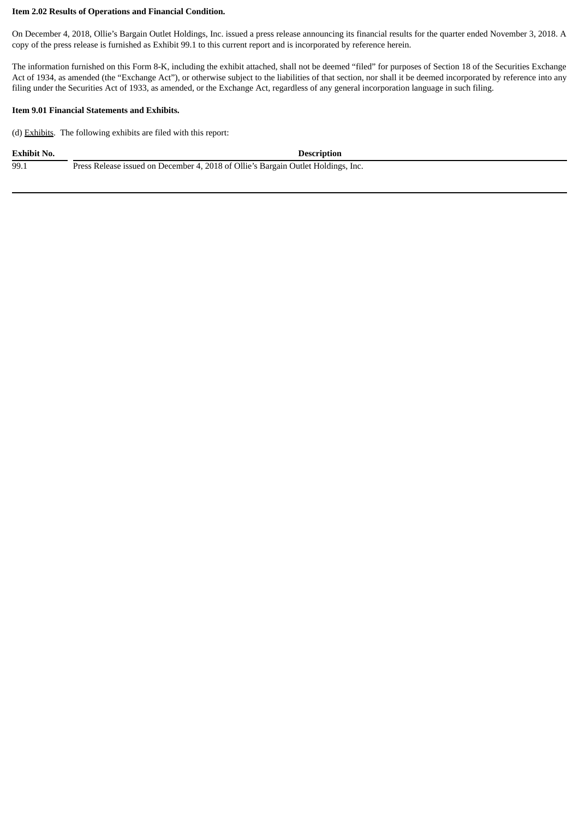### **Item 2.02 Results of Operations and Financial Condition.**

On December 4, 2018, Ollie's Bargain Outlet Holdings, Inc. issued a press release announcing its financial results for the quarter ended November 3, 2018. A copy of the press release is furnished as Exhibit 99.1 to this current report and is incorporated by reference herein.

The information furnished on this Form 8-K, including the exhibit attached, shall not be deemed "filed" for purposes of Section 18 of the Securities Exchange Act of 1934, as amended (the "Exchange Act"), or otherwise subject to the liabilities of that section, nor shall it be deemed incorporated by reference into any filing under the Securities Act of 1933, as amended, or the Exchange Act, regardless of any general incorporation language in such filing.

### **Item 9.01 Financial Statements and Exhibits.**

(d) Exhibits. The following exhibits are filed with this report:

**Exhibit No. Description**

99.1 Press Release issued on December 4, 2018 of Ollie's Bargain Outlet Holdings, Inc.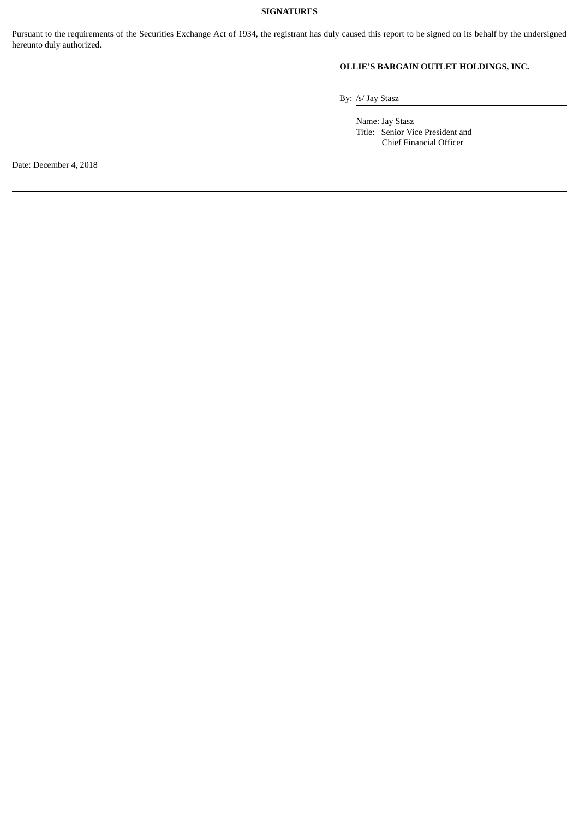### **SIGNATURES**

Pursuant to the requirements of the Securities Exchange Act of 1934, the registrant has duly caused this report to be signed on its behalf by the undersigned hereunto duly authorized.

### **OLLIE'S BARGAIN OUTLET HOLDINGS, INC.**

By: /s/ Jay Stasz

Name: Jay Stasz Title: Senior Vice President and Chief Financial Officer

Date: December 4, 2018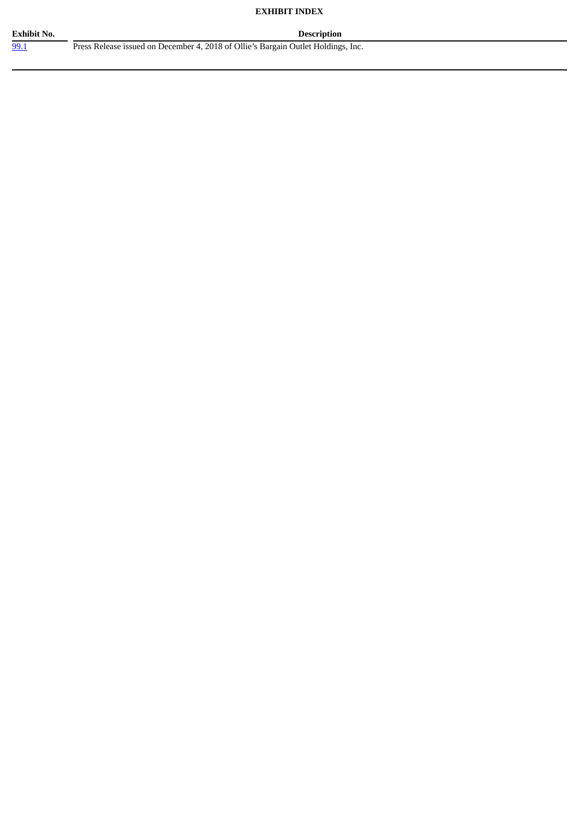### **EXHIBIT INDEX**

**Exhibit No. Description**

[99.1](#page-4-0) Press Release issued on December 4, 2018 of Ollie's Bargain Outlet Holdings, Inc.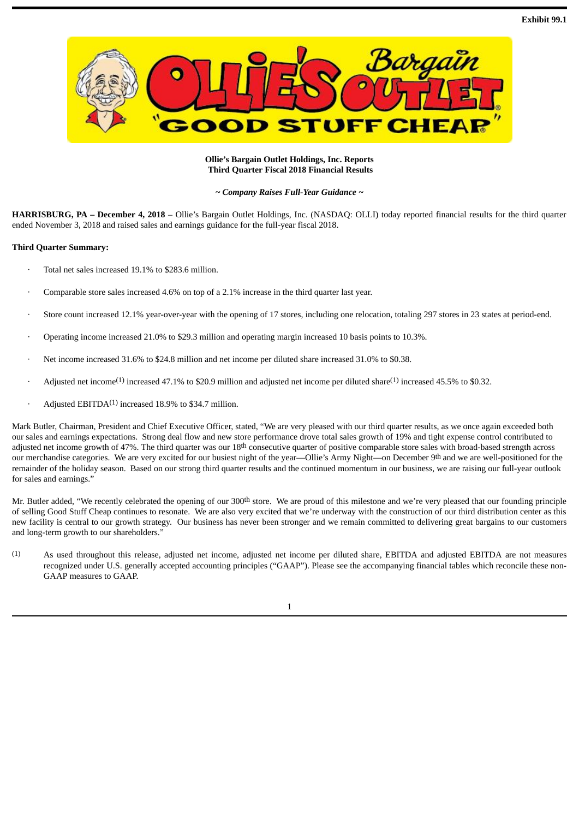<span id="page-4-0"></span>

### **Ollie's Bargain Outlet Holdings, Inc. Reports Third Quarter Fiscal 2018 Financial Results**

*~ Company Raises Full-Year Guidance ~*

**HARRISBURG, PA – December 4, 2018** – Ollie's Bargain Outlet Holdings, Inc. (NASDAQ: OLLI) today reported financial results for the third quarter ended November 3, 2018 and raised sales and earnings guidance for the full-year fiscal 2018.

#### **Third Quarter Summary:**

- Total net sales increased 19.1% to \$283.6 million.
- Comparable store sales increased 4.6% on top of a 2.1% increase in the third quarter last year.
- Store count increased 12.1% year-over-year with the opening of 17 stores, including one relocation, totaling 297 stores in 23 states at period-end.
- · Operating income increased 21.0% to \$29.3 million and operating margin increased 10 basis points to 10.3%.
- · Net income increased 31.6% to \$24.8 million and net income per diluted share increased 31.0% to \$0.38.
- Adjusted net income<sup>(1)</sup> increased 47.1% to \$20.9 million and adjusted net income per diluted share<sup>(1)</sup> increased 45.5% to \$0.32.
- $\cdot$  Adjusted EBITDA<sup>(1)</sup> increased 18.9% to \$34.7 million.

Mark Butler, Chairman, President and Chief Executive Officer, stated, "We are very pleased with our third quarter results, as we once again exceeded both our sales and earnings expectations. Strong deal flow and new store performance drove total sales growth of 19% and tight expense control contributed to adjusted net income growth of 47%. The third quarter was our  $18<sup>th</sup>$  consecutive quarter of positive comparable store sales with broad-based strength across our merchandise categories. We are very excited for our busiest night of the year—Ollie's Army Night—on December 9th and we are well-positioned for the remainder of the holiday season. Based on our strong third quarter results and the continued momentum in our business, we are raising our full-year outlook for sales and earnings."

Mr. Butler added, "We recently celebrated the opening of our 300<sup>th</sup> store. We are proud of this milestone and we're very pleased that our founding principle of selling Good Stuff Cheap continues to resonate. We are also very excited that we're underway with the construction of our third distribution center as this new facility is central to our growth strategy. Our business has never been stronger and we remain committed to delivering great bargains to our customers and long-term growth to our shareholders."

(1) As used throughout this release, adjusted net income, adjusted net income per diluted share, EBITDA and adjusted EBITDA are not measures recognized under U.S. generally accepted accounting principles ("GAAP"). Please see the accompanying financial tables which reconcile these non-GAAP measures to GAAP.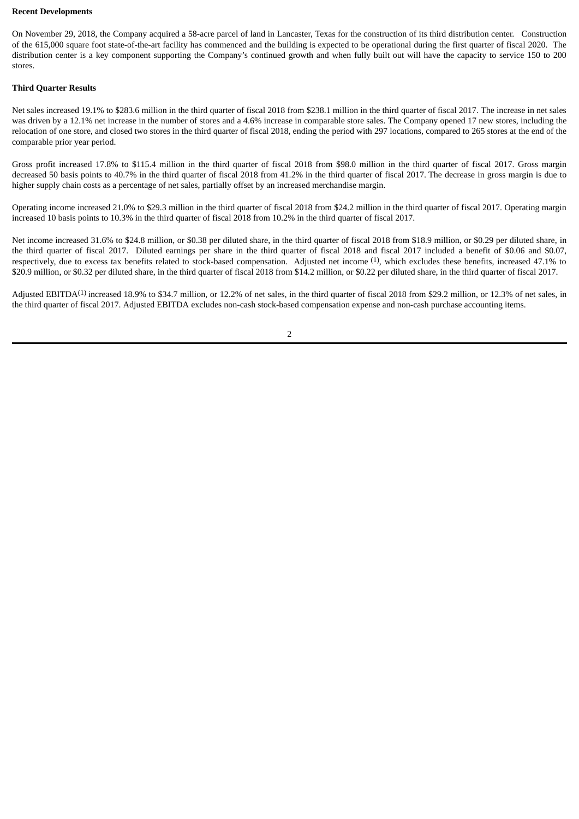#### **Recent Developments**

On November 29, 2018, the Company acquired a 58-acre parcel of land in Lancaster, Texas for the construction of its third distribution center. Construction of the 615,000 square foot state-of-the-art facility has commenced and the building is expected to be operational during the first quarter of fiscal 2020. The distribution center is a key component supporting the Company's continued growth and when fully built out will have the capacity to service 150 to 200 stores.

### **Third Quarter Results**

Net sales increased 19.1% to \$283.6 million in the third quarter of fiscal 2018 from \$238.1 million in the third quarter of fiscal 2017. The increase in net sales was driven by a 12.1% net increase in the number of stores and a 4.6% increase in comparable store sales. The Company opened 17 new stores, including the relocation of one store, and closed two stores in the third quarter of fiscal 2018, ending the period with 297 locations, compared to 265 stores at the end of the comparable prior year period.

Gross profit increased 17.8% to \$115.4 million in the third quarter of fiscal 2018 from \$98.0 million in the third quarter of fiscal 2017. Gross margin decreased 50 basis points to 40.7% in the third quarter of fiscal 2018 from 41.2% in the third quarter of fiscal 2017. The decrease in gross margin is due to higher supply chain costs as a percentage of net sales, partially offset by an increased merchandise margin.

Operating income increased 21.0% to \$29.3 million in the third quarter of fiscal 2018 from \$24.2 million in the third quarter of fiscal 2017. Operating margin increased 10 basis points to 10.3% in the third quarter of fiscal 2018 from 10.2% in the third quarter of fiscal 2017.

Net income increased 31.6% to \$24.8 million, or \$0.38 per diluted share, in the third quarter of fiscal 2018 from \$18.9 million, or \$0.29 per diluted share, in the third quarter of fiscal 2017. Diluted earnings per share in the third quarter of fiscal 2018 and fiscal 2017 included a benefit of \$0.06 and \$0.07, respectively, due to excess tax benefits related to stock-based compensation. Adjusted net income <sup>(1)</sup>, which excludes these benefits, increased 47.1% to \$20.9 million, or \$0.32 per diluted share, in the third quarter of fiscal 2018 from \$14.2 million, or \$0.22 per diluted share, in the third quarter of fiscal 2017.

Adjusted EBITDA<sup>(1)</sup> increased 18.9% to \$34.7 million, or 12.2% of net sales, in the third quarter of fiscal 2018 from \$29.2 million, or 12.3% of net sales, in the third quarter of fiscal 2017. Adjusted EBITDA excludes non-cash stock-based compensation expense and non-cash purchase accounting items.

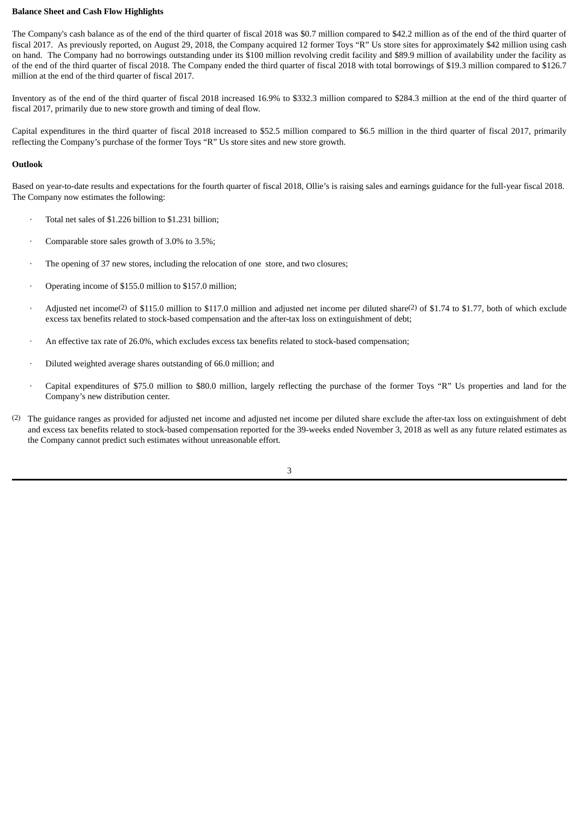### **Balance Sheet and Cash Flow Highlights**

The Company's cash balance as of the end of the third quarter of fiscal 2018 was \$0.7 million compared to \$42.2 million as of the end of the third quarter of fiscal 2017. As previously reported, on August 29, 2018, the Company acquired 12 former Toys "R" Us store sites for approximately \$42 million using cash on hand. The Company had no borrowings outstanding under its \$100 million revolving credit facility and \$89.9 million of availability under the facility as of the end of the third quarter of fiscal 2018. The Company ended the third quarter of fiscal 2018 with total borrowings of \$19.3 million compared to \$126.7 million at the end of the third quarter of fiscal 2017.

Inventory as of the end of the third quarter of fiscal 2018 increased 16.9% to \$332.3 million compared to \$284.3 million at the end of the third quarter of fiscal 2017, primarily due to new store growth and timing of deal flow.

Capital expenditures in the third quarter of fiscal 2018 increased to \$52.5 million compared to \$6.5 million in the third quarter of fiscal 2017, primarily reflecting the Company's purchase of the former Toys "R" Us store sites and new store growth.

### **Outlook**

Based on year-to-date results and expectations for the fourth quarter of fiscal 2018, Ollie's is raising sales and earnings guidance for the full-year fiscal 2018. The Company now estimates the following:

- Total net sales of \$1.226 billion to \$1.231 billion;
- Comparable store sales growth of 3.0% to 3.5%;
- · The opening of 37 new stores, including the relocation of one store, and two closures;
- Operating income of \$155.0 million to \$157.0 million;
- Adjusted net income<sup>(2)</sup> of \$115.0 million to \$117.0 million and adjusted net income per diluted share<sup>(2)</sup> of \$1.74 to \$1.77, both of which exclude excess tax benefits related to stock-based compensation and the after-tax loss on extinguishment of debt;
- An effective tax rate of 26.0%, which excludes excess tax benefits related to stock-based compensation;
- · Diluted weighted average shares outstanding of 66.0 million; and
- · Capital expenditures of \$75.0 million to \$80.0 million, largely reflecting the purchase of the former Toys "R" Us properties and land for the Company's new distribution center.
- (2) The guidance ranges as provided for adjusted net income and adjusted net income per diluted share exclude the after-tax loss on extinguishment of debt and excess tax benefits related to stock-based compensation reported for the 39-weeks ended November 3, 2018 as well as any future related estimates as the Company cannot predict such estimates without unreasonable effort.

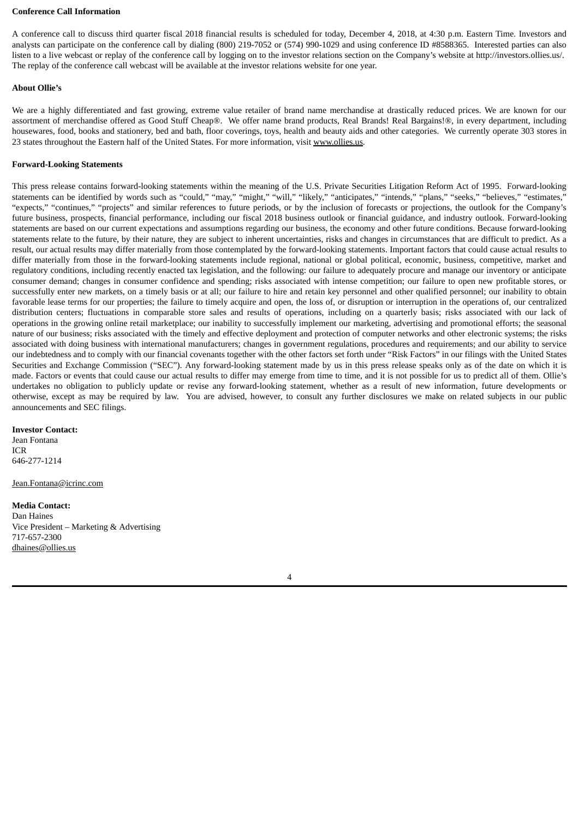#### **Conference Call Information**

A conference call to discuss third quarter fiscal 2018 financial results is scheduled for today, December 4, 2018, at 4:30 p.m. Eastern Time. Investors and analysts can participate on the conference call by dialing (800) 219-7052 or (574) 990-1029 and using conference ID #8588365. Interested parties can also listen to a live webcast or replay of the conference call by logging on to the investor relations section on the Company's website at http://investors.ollies.us/. The replay of the conference call webcast will be available at the investor relations website for one year.

### **About Ollie's**

We are a highly differentiated and fast growing, extreme value retailer of brand name merchandise at drastically reduced prices. We are known for our assortment of merchandise offered as Good Stuff Cheap®. We offer name brand products, Real Brands! Real Bargains!®, in every department, including housewares, food, books and stationery, bed and bath, floor coverings, toys, health and beauty aids and other categories. We currently operate 303 stores in 23 states throughout the Eastern half of the United States. For more information, visit www.ollies.us.

### **Forward-Looking Statements**

This press release contains forward-looking statements within the meaning of the U.S. Private Securities Litigation Reform Act of 1995. Forward-looking statements can be identified by words such as "could," "may," "might," "will," "likely," "anticipates," "intends," "plans," "seeks," "believes," "estimates," "expects," "continues," "projects" and similar references to future periods, or by the inclusion of forecasts or projections, the outlook for the Company's future business, prospects, financial performance, including our fiscal 2018 business outlook or financial guidance, and industry outlook. Forward-looking statements are based on our current expectations and assumptions regarding our business, the economy and other future conditions. Because forward-looking statements relate to the future, by their nature, they are subject to inherent uncertainties, risks and changes in circumstances that are difficult to predict. As a result, our actual results may differ materially from those contemplated by the forward-looking statements. Important factors that could cause actual results to differ materially from those in the forward-looking statements include regional, national or global political, economic, business, competitive, market and regulatory conditions, including recently enacted tax legislation, and the following: our failure to adequately procure and manage our inventory or anticipate consumer demand; changes in consumer confidence and spending; risks associated with intense competition; our failure to open new profitable stores, or successfully enter new markets, on a timely basis or at all; our failure to hire and retain key personnel and other qualified personnel; our inability to obtain favorable lease terms for our properties; the failure to timely acquire and open, the loss of, or disruption or interruption in the operations of, our centralized distribution centers; fluctuations in comparable store sales and results of operations, including on a quarterly basis; risks associated with our lack of operations in the growing online retail marketplace; our inability to successfully implement our marketing, advertising and promotional efforts; the seasonal nature of our business; risks associated with the timely and effective deployment and protection of computer networks and other electronic systems; the risks associated with doing business with international manufacturers; changes in government regulations, procedures and requirements; and our ability to service our indebtedness and to comply with our financial covenants together with the other factors set forth under "Risk Factors" in our filings with the United States Securities and Exchange Commission ("SEC"). Any forward-looking statement made by us in this press release speaks only as of the date on which it is made. Factors or events that could cause our actual results to differ may emerge from time to time, and it is not possible for us to predict all of them. Ollie's undertakes no obligation to publicly update or revise any forward-looking statement, whether as a result of new information, future developments or otherwise, except as may be required by law. You are advised, however, to consult any further disclosures we make on related subjects in our public announcements and SEC filings.

#### **Investor Contact:**

Jean Fontana ICR 646-277-1214

Jean.Fontana@icrinc.com

#### **Media Contact:**

Dan Haines Vice President – Marketing & Advertising 717-657-2300 dhaines@ollies.us

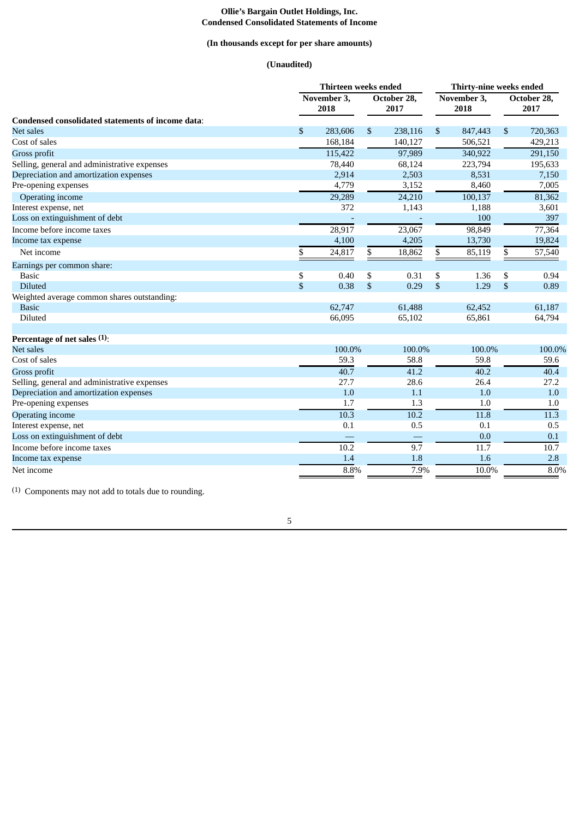#### **Ollie's Bargain Outlet Holdings, Inc. Condensed Consolidated Statements of Income**

### **(In thousands except for per share amounts)**

### **(Unaudited)**

|                                                   | Thirteen weeks ended   |         |                           |                     | Thirty-nine weeks ended |                     |              |                     |  |
|---------------------------------------------------|------------------------|---------|---------------------------|---------------------|-------------------------|---------------------|--------------|---------------------|--|
|                                                   | November $3$ ,<br>2018 |         |                           | October 28,<br>2017 |                         | November 3,<br>2018 |              | October 28,<br>2017 |  |
| Condensed consolidated statements of income data: |                        |         |                           |                     |                         |                     |              |                     |  |
| <b>Net sales</b>                                  | \$                     | 283,606 | $\mathbb{S}$              | 238,116             | \$                      | 847,443             | \$           | 720,363             |  |
| Cost of sales                                     |                        | 168,184 |                           | 140,127             |                         | 506,521             |              | 429,213             |  |
| Gross profit                                      |                        | 115,422 |                           | 97,989              |                         | 340,922             |              | 291,150             |  |
| Selling, general and administrative expenses      |                        | 78,440  |                           | 68,124              |                         | 223,794             |              | 195,633             |  |
| Depreciation and amortization expenses            |                        | 2,914   |                           | 2,503               |                         | 8,531               |              | 7,150               |  |
| Pre-opening expenses                              |                        | 4,779   |                           | 3,152               |                         | 8,460               |              | 7,005               |  |
| Operating income                                  |                        | 29,289  |                           | 24,210              |                         | 100,137             |              | 81,362              |  |
| Interest expense, net                             |                        | 372     |                           | 1,143               |                         | 1,188               |              | 3,601               |  |
| Loss on extinguishment of debt                    |                        |         |                           |                     |                         | 100                 |              | 397                 |  |
| Income before income taxes                        |                        | 28,917  |                           | 23,067              |                         | 98,849              |              | 77,364              |  |
| Income tax expense                                |                        | 4,100   |                           | 4,205               |                         | 13,730              |              | 19,824              |  |
| Net income                                        | \$                     | 24,817  | \$                        | 18,862              | \$                      | 85,119              | \$           | 57,540              |  |
| Earnings per common share:                        |                        |         |                           |                     |                         |                     |              |                     |  |
| <b>Basic</b>                                      | \$                     | 0.40    | \$                        | 0.31                | \$                      | 1.36                | \$           | 0.94                |  |
| <b>Diluted</b>                                    | \$                     | 0.38    | $\boldsymbol{\mathsf{S}}$ | 0.29                | $\mathfrak{S}$          | 1.29                | $\mathbb{S}$ | 0.89                |  |
| Weighted average common shares outstanding:       |                        |         |                           |                     |                         |                     |              |                     |  |
| <b>Basic</b>                                      |                        | 62,747  |                           | 61,488              |                         | 62,452              |              | 61,187              |  |
| Diluted                                           |                        | 66,095  |                           | 65,102              |                         | 65,861              |              | 64,794              |  |
| Percentage of net sales (1):                      |                        |         |                           |                     |                         |                     |              |                     |  |
| Net sales                                         |                        | 100.0%  |                           | 100.0%              |                         | 100.0%              |              | 100.0%              |  |
| Cost of sales                                     |                        | 59.3    |                           | 58.8                |                         | 59.8                |              | 59.6                |  |
| Gross profit                                      |                        | 40.7    |                           | 41.2                |                         | 40.2                |              | 40.4                |  |
| Selling, general and administrative expenses      |                        | 27.7    |                           | 28.6                |                         | 26.4                |              | 27.2                |  |
| Depreciation and amortization expenses            |                        | 1.0     |                           | 1.1                 |                         | 1.0                 |              | 1.0                 |  |
| Pre-opening expenses                              |                        | 1.7     |                           | 1.3                 |                         | 1.0                 |              | 1.0                 |  |
| <b>Operating income</b>                           |                        | 10.3    |                           | 10.2                |                         | 11.8                |              | 11.3                |  |
| Interest expense, net                             |                        | 0.1     |                           | 0.5                 |                         | 0.1                 |              | 0.5                 |  |
| Loss on extinguishment of debt                    |                        |         |                           |                     |                         | 0.0                 |              | 0.1                 |  |
| Income before income taxes                        |                        | 10.2    |                           | 9.7                 |                         | 11.7                |              | 10.7                |  |
| Income tax expense                                |                        | 1.4     |                           | 1.8                 |                         | 1.6                 |              | 2.8                 |  |
| Net income                                        |                        | 8.8%    |                           | 7.9%                |                         | 10.0%               |              | 8.0%                |  |

(1) Components may not add to totals due to rounding.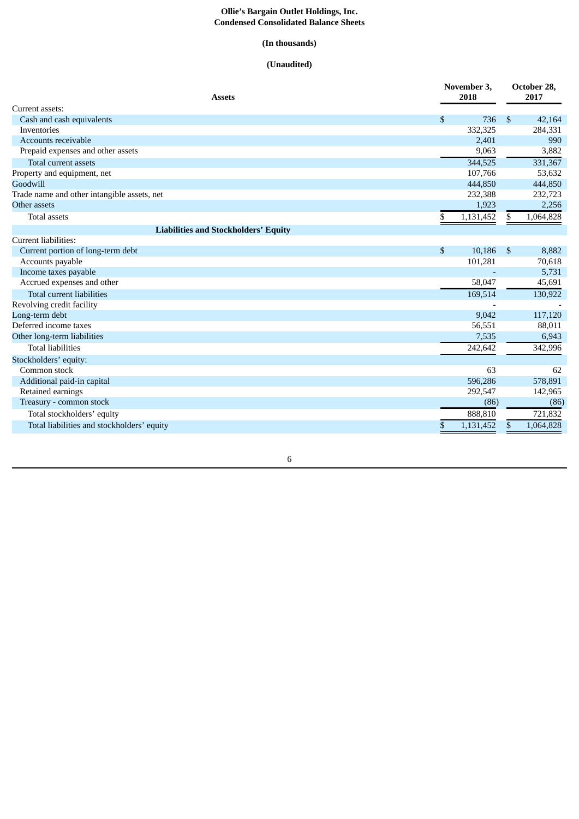#### **Ollie's Bargain Outlet Holdings, Inc. Condensed Consolidated Balance Sheets**

### **(In thousands)**

### **(Unaudited)**

| <b>Assets</b>                               |    | November 3,<br>2018 |                | October 28,<br>2017 |  |  |
|---------------------------------------------|----|---------------------|----------------|---------------------|--|--|
| Current assets:                             |    |                     |                |                     |  |  |
| Cash and cash equivalents                   | \$ | 736                 | \$             | 42,164              |  |  |
| Inventories                                 |    | 332,325             |                | 284,331             |  |  |
| Accounts receivable                         |    | 2,401               |                | 990                 |  |  |
| Prepaid expenses and other assets           |    | 9,063               |                | 3,882               |  |  |
| Total current assets                        |    | 344,525             |                | 331,367             |  |  |
| Property and equipment, net                 |    | 107,766             |                | 53,632              |  |  |
| Goodwill                                    |    | 444,850             |                | 444,850             |  |  |
| Trade name and other intangible assets, net |    | 232,388             |                | 232,723             |  |  |
| Other assets                                |    | 1,923               |                | 2,256               |  |  |
| <b>Total assets</b>                         | \$ | 1,131,452           | \$             | 1,064,828           |  |  |
| <b>Liabilities and Stockholders' Equity</b> |    |                     |                |                     |  |  |
| Current liabilities:                        |    |                     |                |                     |  |  |
| Current portion of long-term debt           | \$ | 10,186              | $\mathfrak{s}$ | 8,882               |  |  |
| Accounts payable                            |    | 101,281             |                | 70,618              |  |  |
| Income taxes payable                        |    |                     |                | 5,731               |  |  |
| Accrued expenses and other                  |    | 58,047              |                | 45,691              |  |  |
| Total current liabilities                   |    | 169,514             |                | 130,922             |  |  |
| Revolving credit facility                   |    |                     |                |                     |  |  |
| Long-term debt                              |    | 9,042               |                | 117,120             |  |  |
| Deferred income taxes                       |    | 56,551              |                | 88,011              |  |  |
| Other long-term liabilities                 |    | 7,535               |                | 6,943               |  |  |
| <b>Total liabilities</b>                    |    | 242,642             |                | 342,996             |  |  |
| Stockholders' equity:                       |    |                     |                |                     |  |  |
| Common stock                                |    | 63                  |                | 62                  |  |  |
| Additional paid-in capital                  |    | 596,286             |                | 578,891             |  |  |
| Retained earnings                           |    | 292,547             |                | 142,965             |  |  |
| Treasury - common stock                     |    | (86)                |                | (86)                |  |  |
| Total stockholders' equity                  |    | 888,810             |                | 721,832             |  |  |
| Total liabilities and stockholders' equity  | \$ | 1,131,452           | \$             | 1,064,828           |  |  |
|                                             |    |                     |                |                     |  |  |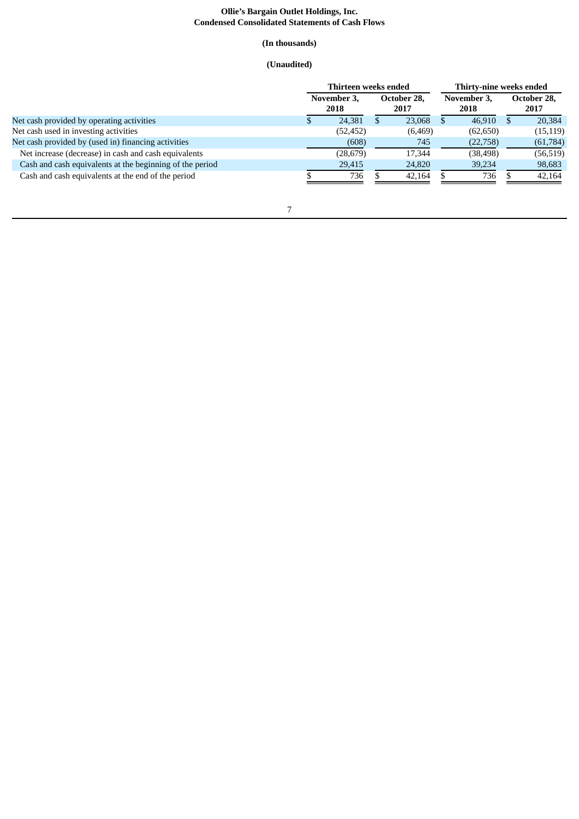#### **Ollie's Bargain Outlet Holdings, Inc. Condensed Consolidated Statements of Cash Flows**

### **(In thousands)**

### **(Unaudited)**

|                                                          | Thirteen weeks ended |                     |  |                     |  | Thirty-nine weeks ended |  |                     |  |  |
|----------------------------------------------------------|----------------------|---------------------|--|---------------------|--|-------------------------|--|---------------------|--|--|
|                                                          |                      | November 3,<br>2018 |  | October 28.<br>2017 |  | November 3,<br>2018     |  | October 28,<br>2017 |  |  |
| Net cash provided by operating activities                |                      | 24,381              |  | 23,068              |  | 46,910                  |  | 20,384              |  |  |
| Net cash used in investing activities                    |                      | (52, 452)           |  | (6, 469)            |  | (62, 650)               |  | (15, 119)           |  |  |
| Net cash provided by (used in) financing activities      |                      | (608)               |  | 745                 |  | (22,758)                |  | (61,784)            |  |  |
| Net increase (decrease) in cash and cash equivalents     |                      | (28, 679)           |  | 17.344              |  | (38, 498)               |  | (56, 519)           |  |  |
| Cash and cash equivalents at the beginning of the period |                      | 29,415              |  | 24,820              |  | 39,234                  |  | 98,683              |  |  |
| Cash and cash equivalents at the end of the period       |                      | 736                 |  | 42,164              |  | 736                     |  | 42,164              |  |  |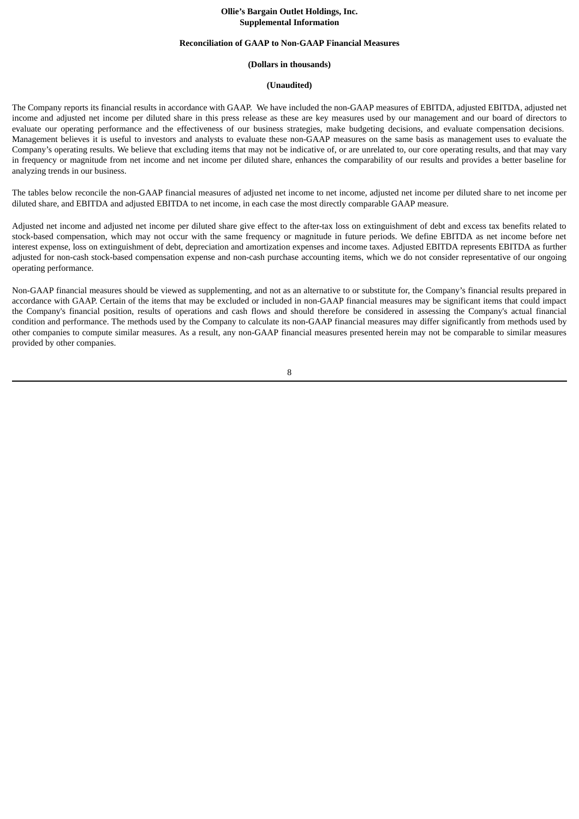### **Ollie's Bargain Outlet Holdings, Inc. Supplemental Information**

#### **Reconciliation of GAAP to Non-GAAP Financial Measures**

#### **(Dollars in thousands)**

#### **(Unaudited)**

The Company reports its financial results in accordance with GAAP. We have included the non-GAAP measures of EBITDA, adjusted EBITDA, adjusted net income and adjusted net income per diluted share in this press release as these are key measures used by our management and our board of directors to evaluate our operating performance and the effectiveness of our business strategies, make budgeting decisions, and evaluate compensation decisions. Management believes it is useful to investors and analysts to evaluate these non-GAAP measures on the same basis as management uses to evaluate the Company's operating results. We believe that excluding items that may not be indicative of, or are unrelated to, our core operating results, and that may vary in frequency or magnitude from net income and net income per diluted share, enhances the comparability of our results and provides a better baseline for analyzing trends in our business.

The tables below reconcile the non-GAAP financial measures of adjusted net income to net income, adjusted net income per diluted share to net income per diluted share, and EBITDA and adjusted EBITDA to net income, in each case the most directly comparable GAAP measure.

Adjusted net income and adjusted net income per diluted share give effect to the after-tax loss on extinguishment of debt and excess tax benefits related to stock-based compensation, which may not occur with the same frequency or magnitude in future periods. We define EBITDA as net income before net interest expense, loss on extinguishment of debt, depreciation and amortization expenses and income taxes. Adjusted EBITDA represents EBITDA as further adjusted for non-cash stock-based compensation expense and non-cash purchase accounting items, which we do not consider representative of our ongoing operating performance.

Non-GAAP financial measures should be viewed as supplementing, and not as an alternative to or substitute for, the Company's financial results prepared in accordance with GAAP. Certain of the items that may be excluded or included in non-GAAP financial measures may be significant items that could impact the Company's financial position, results of operations and cash flows and should therefore be considered in assessing the Company's actual financial condition and performance. The methods used by the Company to calculate its non-GAAP financial measures may differ significantly from methods used by other companies to compute similar measures. As a result, any non-GAAP financial measures presented herein may not be comparable to similar measures provided by other companies.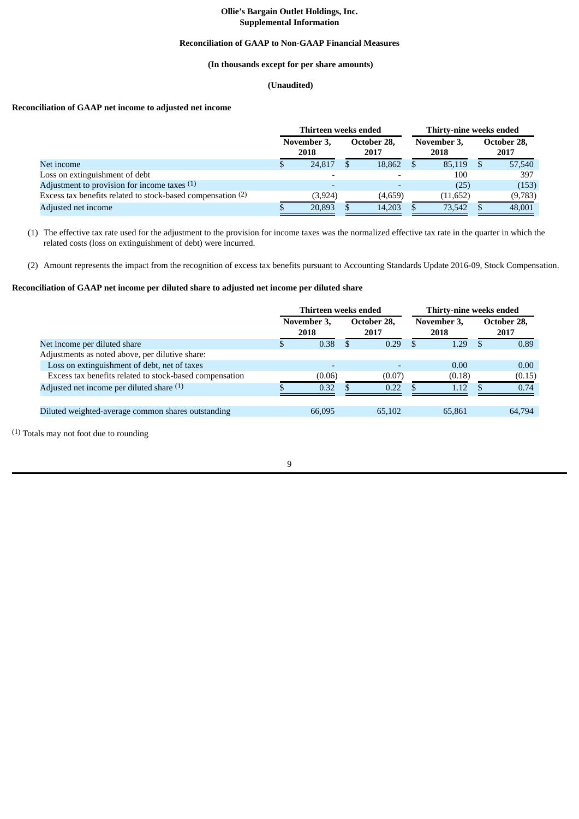### **Ollie's Bargain Outlet Holdings, Inc. Supplemental Information**

### **Reconciliation of GAAP to Non-GAAP Financial Measures**

### **(In thousands except for per share amounts)**

### **(Unaudited)**

### **Reconciliation of GAAP net income to adjusted net income**

|                                                             | Thirteen weeks ended |                     |  |                     |    | Thirty-nine weeks ended |  |                     |  |  |
|-------------------------------------------------------------|----------------------|---------------------|--|---------------------|----|-------------------------|--|---------------------|--|--|
|                                                             |                      | November 3,<br>2018 |  | October 28,<br>2017 |    | November 3,<br>2018     |  | October 28,<br>2017 |  |  |
| Net income                                                  |                      | 24,817              |  | 18,862              | \$ | 85,119                  |  | 57,540              |  |  |
| Loss on extinguishment of debt                              |                      |                     |  |                     |    | 100                     |  | 397                 |  |  |
| Adjustment to provision for income taxes $(1)$              |                      |                     |  |                     |    | (25)                    |  | (153)               |  |  |
| Excess tax benefits related to stock-based compensation (2) |                      | (3,924)             |  | (4,659)             |    | (11, 652)               |  | (9,783)             |  |  |
| Adjusted net income                                         |                      | 20,893              |  | 14,203              |    | 73,542                  |  | 48,001              |  |  |

(1) The effective tax rate used for the adjustment to the provision for income taxes was the normalized effective tax rate in the quarter in which the related costs (loss on extinguishment of debt) were incurred.

(2) Amount represents the impact from the recognition of excess tax benefits pursuant to Accounting Standards Update 2016-09, Stock Compensation.

### **Reconciliation of GAAP net income per diluted share to adjusted net income per diluted share**

|                                                         | Thirteen weeks ended |                          |  |                     | Thirty-nine weeks ended |                     |    |                     |  |  |
|---------------------------------------------------------|----------------------|--------------------------|--|---------------------|-------------------------|---------------------|----|---------------------|--|--|
|                                                         |                      | November 3,<br>2018      |  | October 28,<br>2017 |                         | November 3.<br>2018 |    | October 28,<br>2017 |  |  |
| Net income per diluted share                            |                      | 0.38                     |  | 0.29                | -S                      | 1.29                | -S | 0.89                |  |  |
| Adjustments as noted above, per dilutive share:         |                      |                          |  |                     |                         |                     |    |                     |  |  |
| Loss on extinguishment of debt, net of taxes            |                      | $\overline{\phantom{0}}$ |  |                     |                         | 0.00                |    | 0.00                |  |  |
| Excess tax benefits related to stock-based compensation |                      | (0.06)                   |  | (0.07)              |                         | (0.18)              |    | (0.15)              |  |  |
| Adjusted net income per diluted share (1)               |                      | 0.32                     |  | 0.22                |                         | 1.12                |    | 0.74                |  |  |
|                                                         |                      |                          |  |                     |                         |                     |    |                     |  |  |
| Diluted weighted-average common shares outstanding      |                      | 66,095                   |  | 65,102              |                         | 65,861              |    | 64,794              |  |  |
|                                                         |                      |                          |  |                     |                         |                     |    |                     |  |  |

(1) Totals may not foot due to rounding